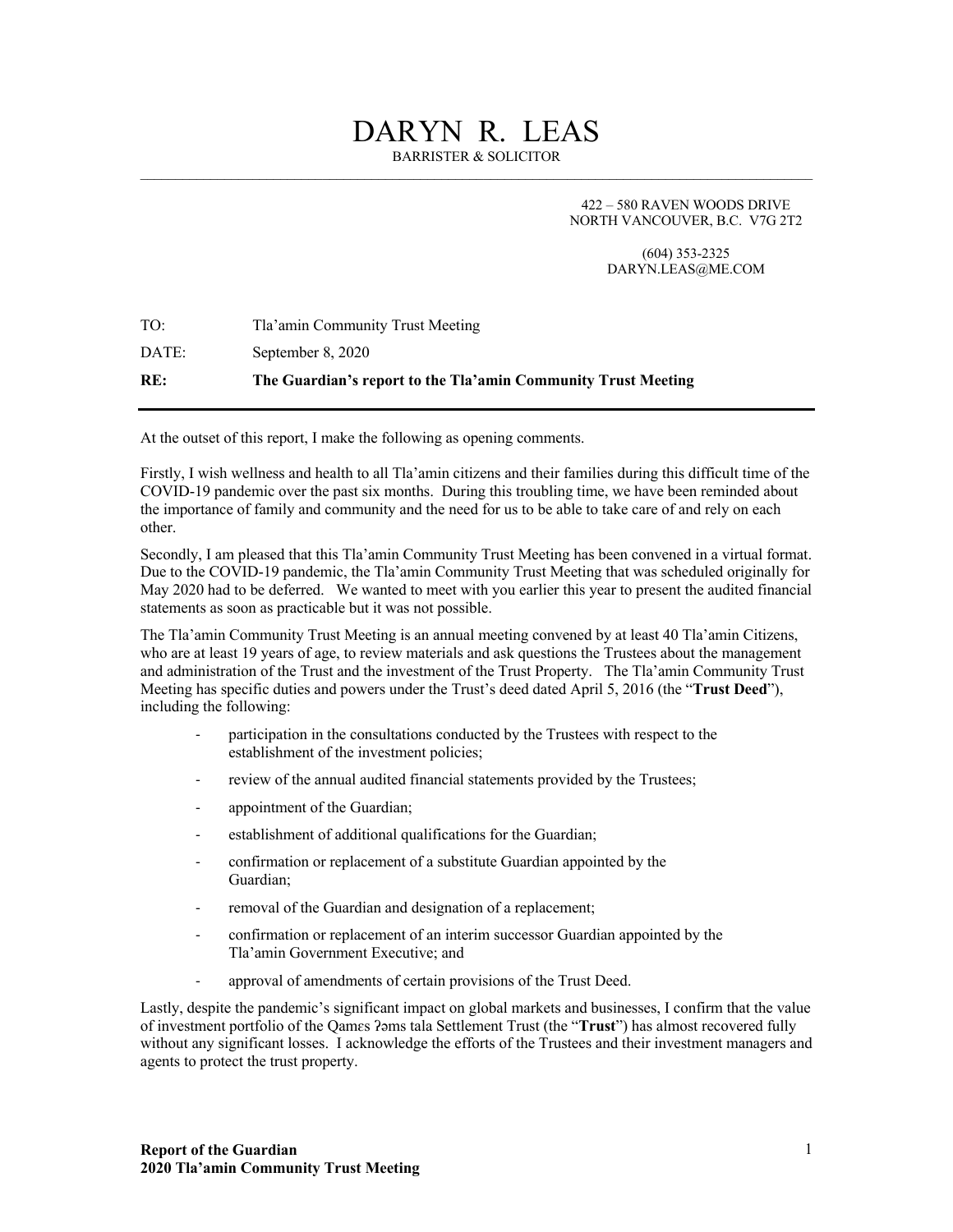# DARYN R. LEAS

BARRISTER & SOLICITOR

422 – 580 RAVEN WOODS DRIVE NORTH VANCOUVER, B.C. V7G 2T2

> (604) 353-2325 DARYN.LEAS@ME.COM

| TO:   | Tla'amin Community Trust Meeting                              |
|-------|---------------------------------------------------------------|
| DATE: | September 8, 2020                                             |
| RE:   | The Guardian's report to the Tla'amin Community Trust Meeting |

At the outset of this report, I make the following as opening comments.

Firstly, I wish wellness and health to all Tla'amin citizens and their families during this difficult time of the COVID-19 pandemic over the past six months. During this troubling time, we have been reminded about the importance of family and community and the need for us to be able to take care of and rely on each other.

Secondly, I am pleased that this Tla'amin Community Trust Meeting has been convened in a virtual format. Due to the COVID-19 pandemic, the Tla'amin Community Trust Meeting that was scheduled originally for May 2020 had to be deferred. We wanted to meet with you earlier this year to present the audited financial statements as soon as practicable but it was not possible.

The Tla'amin Community Trust Meeting is an annual meeting convened by at least 40 Tla'amin Citizens, who are at least 19 years of age, to review materials and ask questions the Trustees about the management and administration of the Trust and the investment of the Trust Property. The Tla'amin Community Trust Meeting has specific duties and powers under the Trust's deed dated April 5, 2016 (the "**Trust Deed**"), including the following:

- participation in the consultations conducted by the Trustees with respect to the establishment of the investment policies;
- review of the annual audited financial statements provided by the Trustees;
- appointment of the Guardian;
- establishment of additional qualifications for the Guardian;
- confirmation or replacement of a substitute Guardian appointed by the Guardian;
- removal of the Guardian and designation of a replacement;
- confirmation or replacement of an interim successor Guardian appointed by the Tla'amin Government Executive; and
- approval of amendments of certain provisions of the Trust Deed.

Lastly, despite the pandemic's significant impact on global markets and businesses, I confirm that the value of investment portfolio of the Qamɛs ʔəms tala Settlement Trust (the "**Trust**") has almost recovered fully without any significant losses. I acknowledge the efforts of the Trustees and their investment managers and agents to protect the trust property.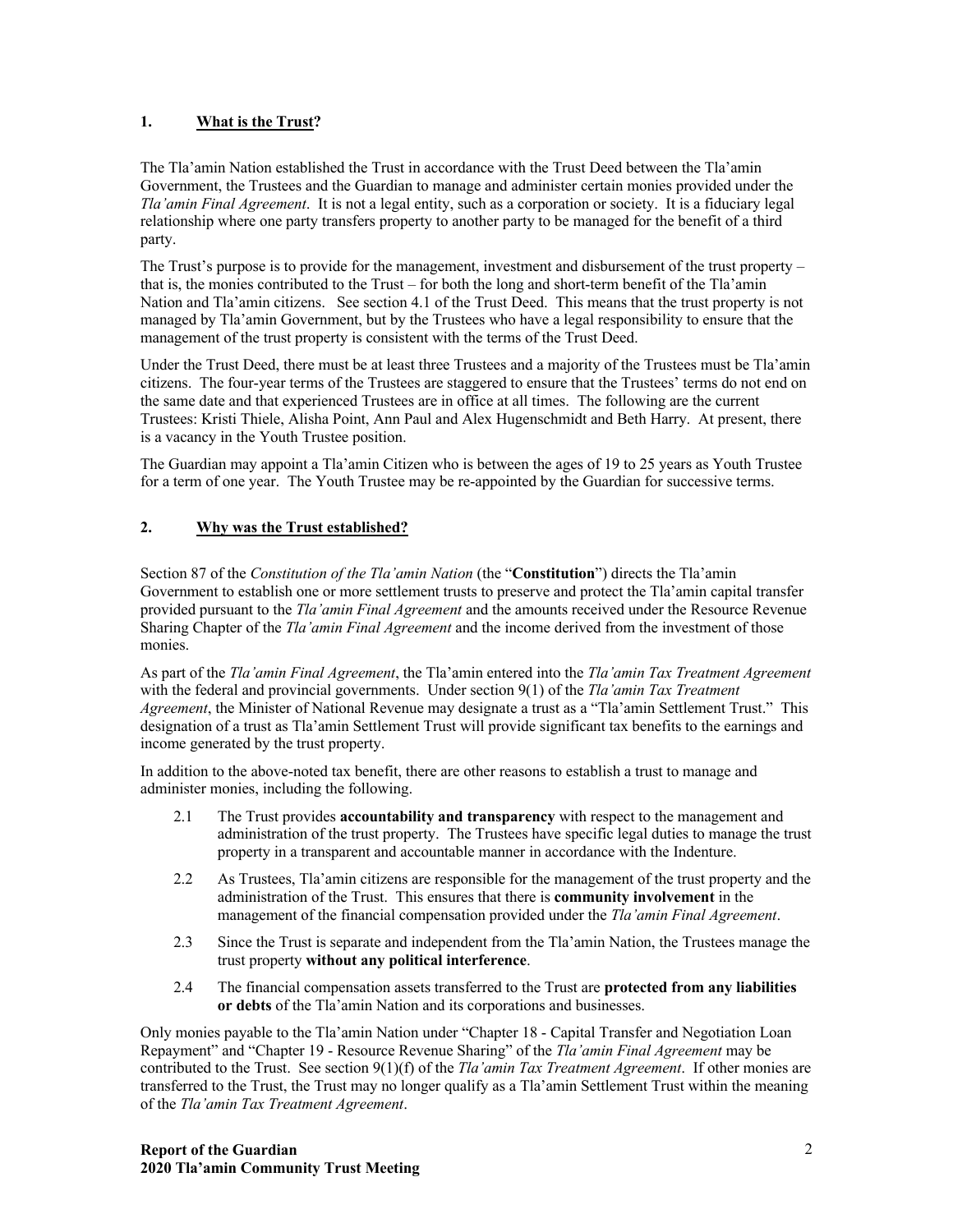### **1. What is the Trust?**

The Tla'amin Nation established the Trust in accordance with the Trust Deed between the Tla'amin Government, the Trustees and the Guardian to manage and administer certain monies provided under the *Tla'amin Final Agreement*. It is not a legal entity, such as a corporation or society. It is a fiduciary legal relationship where one party transfers property to another party to be managed for the benefit of a third party.

The Trust's purpose is to provide for the management, investment and disbursement of the trust property – that is, the monies contributed to the Trust – for both the long and short-term benefit of the Tla'amin Nation and Tla'amin citizens. See section 4.1 of the Trust Deed. This means that the trust property is not managed by Tla'amin Government, but by the Trustees who have a legal responsibility to ensure that the management of the trust property is consistent with the terms of the Trust Deed.

Under the Trust Deed, there must be at least three Trustees and a majority of the Trustees must be Tla'amin citizens. The four-year terms of the Trustees are staggered to ensure that the Trustees' terms do not end on the same date and that experienced Trustees are in office at all times. The following are the current Trustees: Kristi Thiele, Alisha Point, Ann Paul and Alex Hugenschmidt and Beth Harry. At present, there is a vacancy in the Youth Trustee position.

The Guardian may appoint a Tla'amin Citizen who is between the ages of 19 to 25 years as Youth Trustee for a term of one year. The Youth Trustee may be re-appointed by the Guardian for successive terms.

### **2. Why was the Trust established?**

Section 87 of the *Constitution of the Tla'amin Nation* (the "**Constitution**") directs the Tla'amin Government to establish one or more settlement trusts to preserve and protect the Tla'amin capital transfer provided pursuant to the *Tla'amin Final Agreement* and the amounts received under the Resource Revenue Sharing Chapter of the *Tla'amin Final Agreement* and the income derived from the investment of those monies.

As part of the *Tla'amin Final Agreement*, the Tla'amin entered into the *Tla'amin Tax Treatment Agreement* with the federal and provincial governments. Under section 9(1) of the *Tla'amin Tax Treatment Agreement*, the Minister of National Revenue may designate a trust as a "Tla'amin Settlement Trust." This designation of a trust as Tla'amin Settlement Trust will provide significant tax benefits to the earnings and income generated by the trust property.

In addition to the above-noted tax benefit, there are other reasons to establish a trust to manage and administer monies, including the following.

- 2.1 The Trust provides **accountability and transparency** with respect to the management and administration of the trust property. The Trustees have specific legal duties to manage the trust property in a transparent and accountable manner in accordance with the Indenture.
- 2.2 As Trustees, Tla'amin citizens are responsible for the management of the trust property and the administration of the Trust. This ensures that there is **community involvement** in the management of the financial compensation provided under the *Tla'amin Final Agreement*.
- 2.3 Since the Trust is separate and independent from the Tla'amin Nation, the Trustees manage the trust property **without any political interference**.
- 2.4 The financial compensation assets transferred to the Trust are **protected from any liabilities or debts** of the Tla'amin Nation and its corporations and businesses.

Only monies payable to the Tla'amin Nation under "Chapter 18 - Capital Transfer and Negotiation Loan Repayment" and "Chapter 19 - Resource Revenue Sharing" of the *Tla'amin Final Agreement* may be contributed to the Trust. See section 9(1)(f) of the *Tla'amin Tax Treatment Agreement*. If other monies are transferred to the Trust, the Trust may no longer qualify as a Tla'amin Settlement Trust within the meaning of the *Tla'amin Tax Treatment Agreement*.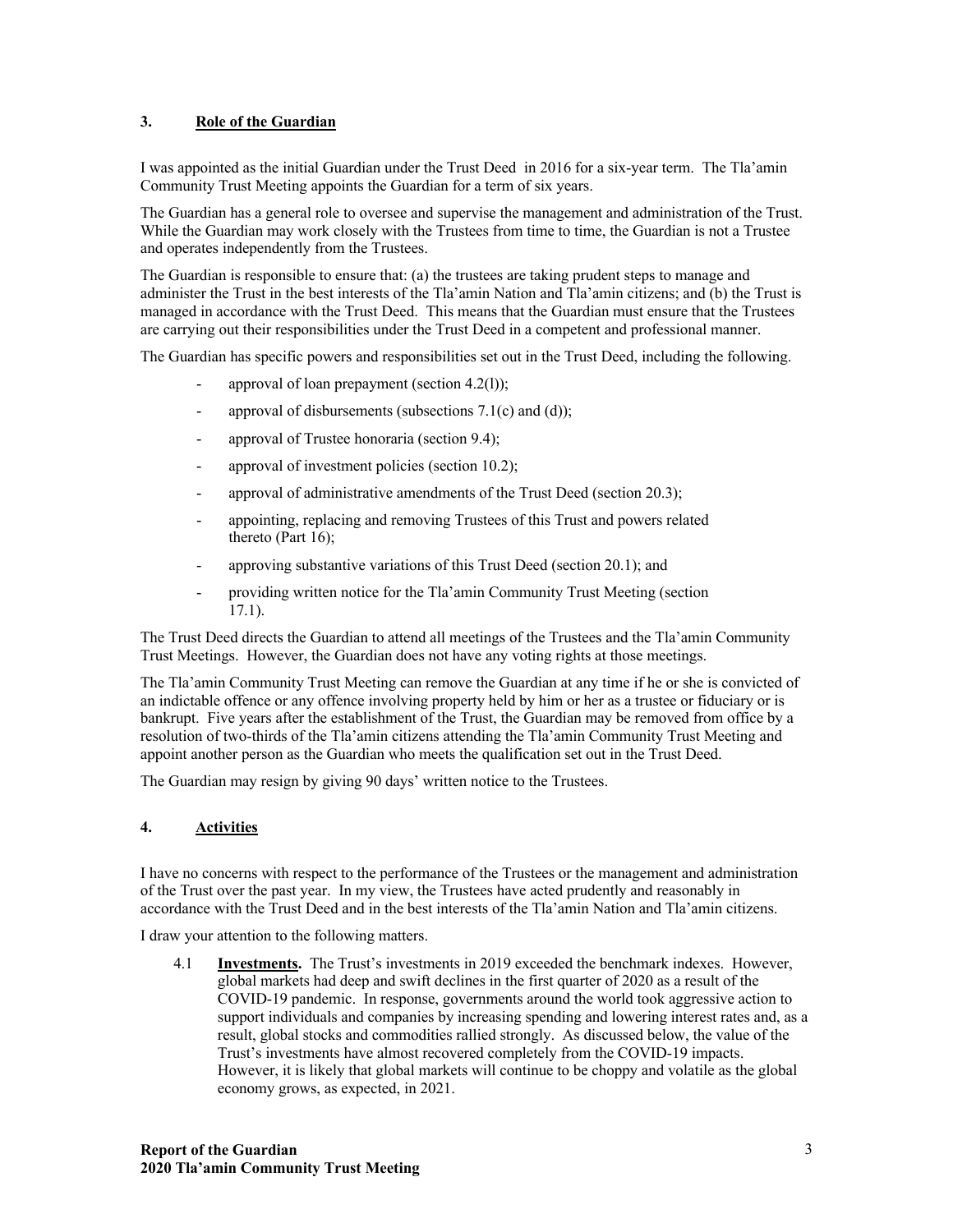#### **3. Role of the Guardian**

I was appointed as the initial Guardian under the Trust Deed in 2016 for a six-year term. The Tla'amin Community Trust Meeting appoints the Guardian for a term of six years.

The Guardian has a general role to oversee and supervise the management and administration of the Trust. While the Guardian may work closely with the Trustees from time to time, the Guardian is not a Trustee and operates independently from the Trustees.

The Guardian is responsible to ensure that: (a) the trustees are taking prudent steps to manage and administer the Trust in the best interests of the Tla'amin Nation and Tla'amin citizens; and (b) the Trust is managed in accordance with the Trust Deed. This means that the Guardian must ensure that the Trustees are carrying out their responsibilities under the Trust Deed in a competent and professional manner.

The Guardian has specific powers and responsibilities set out in the Trust Deed, including the following.

- approval of loan prepayment (section  $4.2(1)$ );
- approval of disbursements (subsections  $7.1(c)$  and  $(d)$ );
- approval of Trustee honoraria (section 9.4);
- approval of investment policies (section 10.2);
- approval of administrative amendments of the Trust Deed (section 20.3);
- appointing, replacing and removing Trustees of this Trust and powers related thereto (Part 16);
- approving substantive variations of this Trust Deed (section 20.1); and
- providing written notice for the Tla'amin Community Trust Meeting (section 17.1).

The Trust Deed directs the Guardian to attend all meetings of the Trustees and the Tla'amin Community Trust Meetings. However, the Guardian does not have any voting rights at those meetings.

The Tla'amin Community Trust Meeting can remove the Guardian at any time if he or she is convicted of an indictable offence or any offence involving property held by him or her as a trustee or fiduciary or is bankrupt. Five years after the establishment of the Trust, the Guardian may be removed from office by a resolution of two-thirds of the Tla'amin citizens attending the Tla'amin Community Trust Meeting and appoint another person as the Guardian who meets the qualification set out in the Trust Deed.

The Guardian may resign by giving 90 days' written notice to the Trustees.

## **4. Activities**

I have no concerns with respect to the performance of the Trustees or the management and administration of the Trust over the past year. In my view, the Trustees have acted prudently and reasonably in accordance with the Trust Deed and in the best interests of the Tla'amin Nation and Tla'amin citizens.

I draw your attention to the following matters.

4.1 **Investments.** The Trust's investments in 2019 exceeded the benchmark indexes. However, global markets had deep and swift declines in the first quarter of 2020 as a result of the COVID-19 pandemic. In response, governments around the world took aggressive action to support individuals and companies by increasing spending and lowering interest rates and, as a result, global stocks and commodities rallied strongly. As discussed below, the value of the Trust's investments have almost recovered completely from the COVID-19 impacts. However, it is likely that global markets will continue to be choppy and volatile as the global economy grows, as expected, in 2021.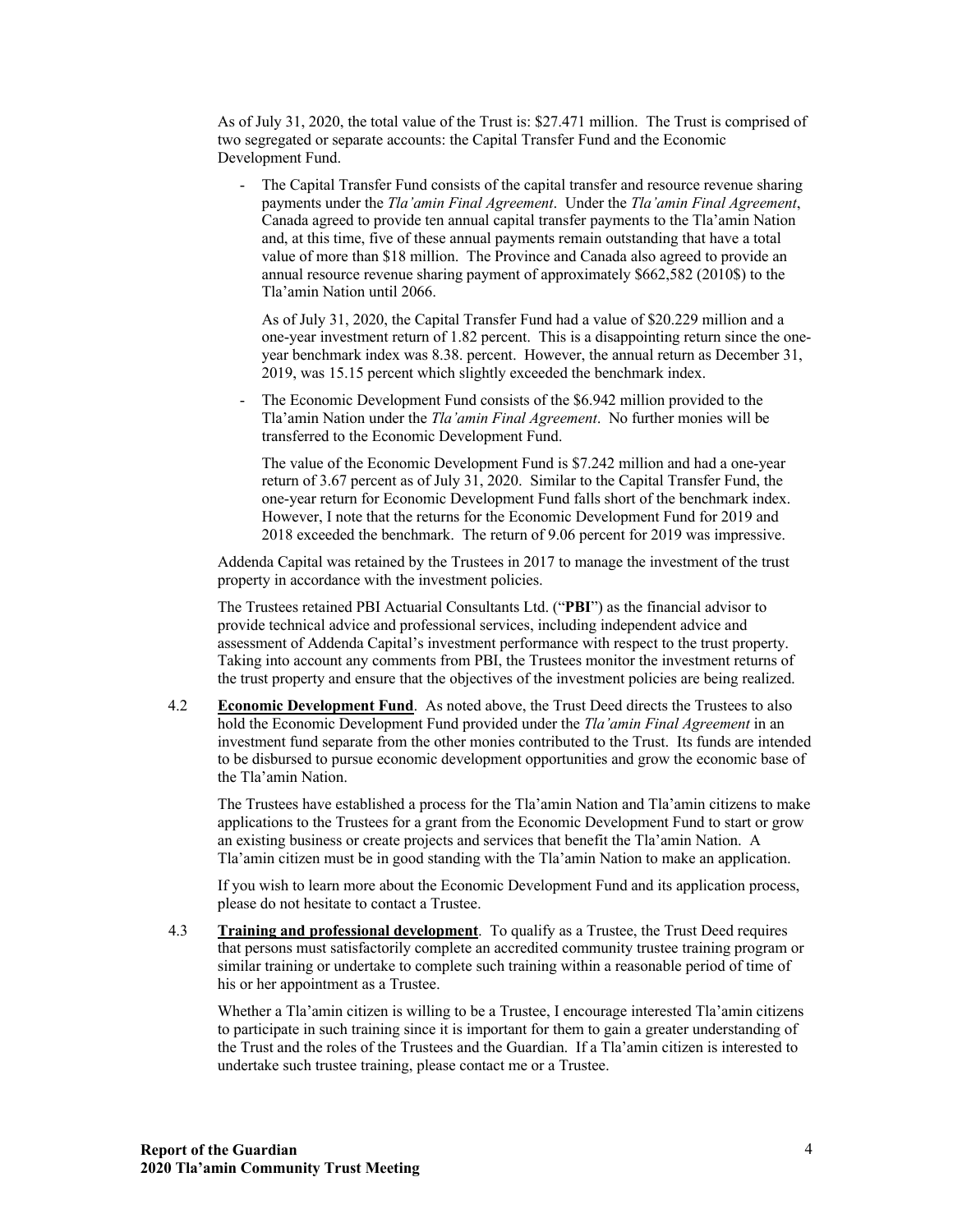As of July 31, 2020, the total value of the Trust is: \$27.471 million. The Trust is comprised of two segregated or separate accounts: the Capital Transfer Fund and the Economic Development Fund.

The Capital Transfer Fund consists of the capital transfer and resource revenue sharing payments under the *Tla'amin Final Agreement*. Under the *Tla'amin Final Agreement*, Canada agreed to provide ten annual capital transfer payments to the Tla'amin Nation and, at this time, five of these annual payments remain outstanding that have a total value of more than \$18 million. The Province and Canada also agreed to provide an annual resource revenue sharing payment of approximately \$662,582 (2010\$) to the Tla'amin Nation until 2066.

As of July 31, 2020, the Capital Transfer Fund had a value of \$20.229 million and a one-year investment return of 1.82 percent. This is a disappointing return since the oneyear benchmark index was 8.38. percent. However, the annual return as December 31, 2019, was 15.15 percent which slightly exceeded the benchmark index.

The Economic Development Fund consists of the \$6.942 million provided to the Tla'amin Nation under the *Tla'amin Final Agreement*. No further monies will be transferred to the Economic Development Fund.

The value of the Economic Development Fund is \$7.242 million and had a one-year return of 3.67 percent as of July 31, 2020. Similar to the Capital Transfer Fund, the one-year return for Economic Development Fund falls short of the benchmark index. However, I note that the returns for the Economic Development Fund for 2019 and 2018 exceeded the benchmark. The return of 9.06 percent for 2019 was impressive.

Addenda Capital was retained by the Trustees in 2017 to manage the investment of the trust property in accordance with the investment policies.

The Trustees retained PBI Actuarial Consultants Ltd. ("**PBI**") as the financial advisor to provide technical advice and professional services, including independent advice and assessment of Addenda Capital's investment performance with respect to the trust property. Taking into account any comments from PBI, the Trustees monitor the investment returns of the trust property and ensure that the objectives of the investment policies are being realized.

4.2 **Economic Development Fund**. As noted above, the Trust Deed directs the Trustees to also hold the Economic Development Fund provided under the *Tla'amin Final Agreement* in an investment fund separate from the other monies contributed to the Trust. Its funds are intended to be disbursed to pursue economic development opportunities and grow the economic base of the Tla'amin Nation.

The Trustees have established a process for the Tla'amin Nation and Tla'amin citizens to make applications to the Trustees for a grant from the Economic Development Fund to start or grow an existing business or create projects and services that benefit the Tla'amin Nation. A Tla'amin citizen must be in good standing with the Tla'amin Nation to make an application.

If you wish to learn more about the Economic Development Fund and its application process, please do not hesitate to contact a Trustee.

4.3 **Training and professional development**. To qualify as a Trustee, the Trust Deed requires that persons must satisfactorily complete an accredited community trustee training program or similar training or undertake to complete such training within a reasonable period of time of his or her appointment as a Trustee.

Whether a Tla'amin citizen is willing to be a Trustee, I encourage interested Tla'amin citizens to participate in such training since it is important for them to gain a greater understanding of the Trust and the roles of the Trustees and the Guardian. If a Tla'amin citizen is interested to undertake such trustee training, please contact me or a Trustee.